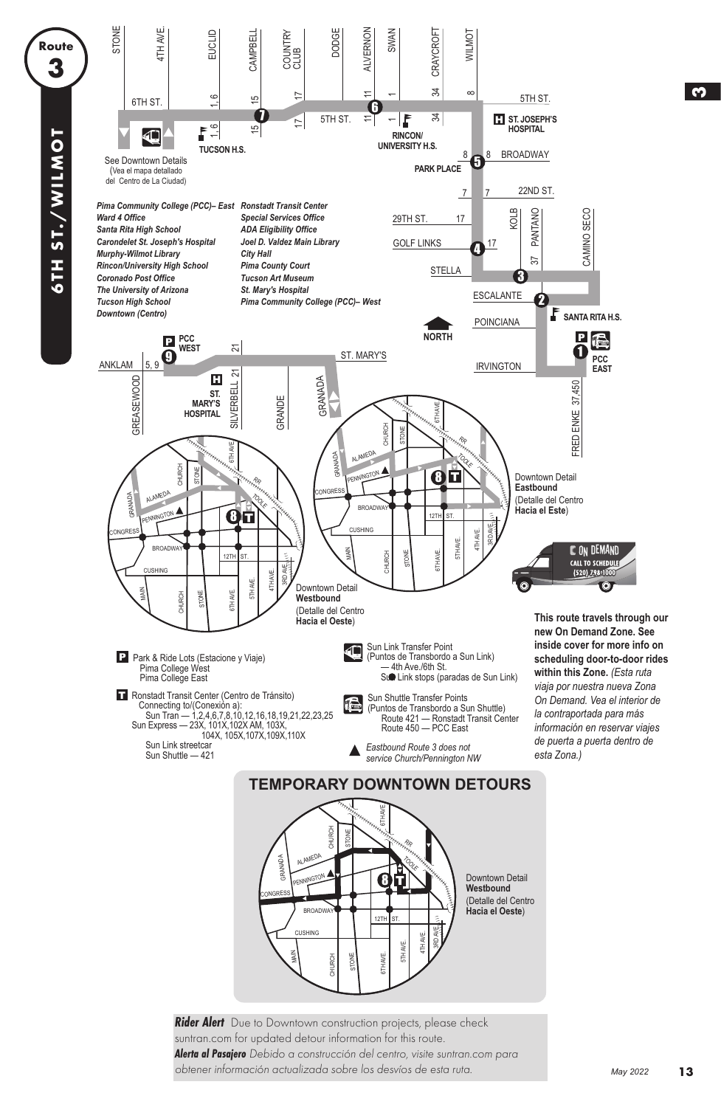

**Rider Alert** Due to Downtown construction projects, please check suntran.com for updated detour information for this route. **Alerta al Pasajero** Debido a construcción del centro, visite suntran.com para obtener información actualizada sobre los desvíos de esta ruta.

**3**